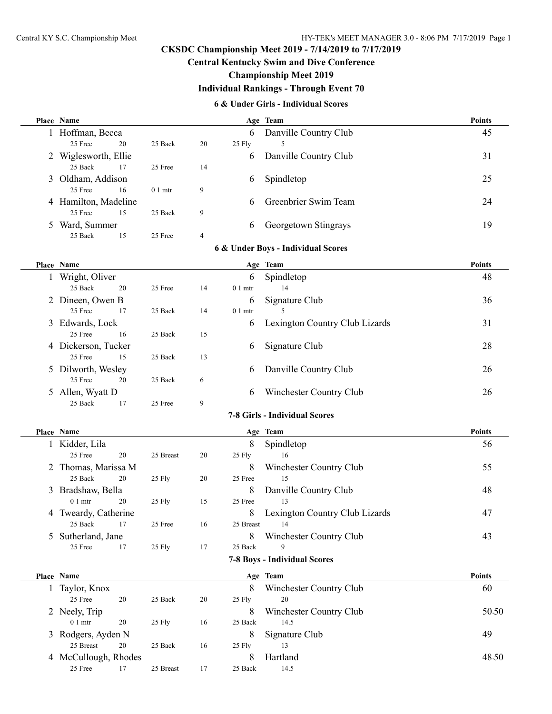## **CKSDC Championship Meet 2019 - 7/14/2019 to 7/17/2019**

## **Central Kentucky Swim and Dive Conference**

## **Championship Meet 2019**

## **Individual Rankings - Through Event 70**

#### **6 & Under Girls - Individual Scores**

|                    | Place Name           |                  |                |                         | Age Team                           | <b>Points</b> |
|--------------------|----------------------|------------------|----------------|-------------------------|------------------------------------|---------------|
|                    | 1 Hoffman, Becca     |                  |                | 6                       | Danville Country Club              | 45            |
|                    | 25 Free<br>20        | 25 Back          | 20             | 25 Fly                  | 5                                  |               |
|                    | 2 Wiglesworth, Ellie |                  |                | 6                       | Danville Country Club              | 31            |
|                    | 25 Back<br>17        | 25 Free          | 14             |                         |                                    |               |
|                    | 3 Oldham, Addison    |                  |                | 6                       | Spindletop                         | 25            |
|                    | 25 Free<br>16        | $01$ mtr         | 9              |                         |                                    |               |
|                    | 4 Hamilton, Madeline |                  |                | 6                       | Greenbrier Swim Team               | 24            |
|                    | 25 Free<br>15        | $25\;{\rm Back}$ | 9              |                         |                                    |               |
|                    | 5 Ward, Summer       |                  |                | 6                       | Georgetown Stingrays               | 19            |
|                    | 25 Back<br>15        | 25 Free          | $\overline{4}$ |                         |                                    |               |
|                    |                      |                  |                |                         | 6 & Under Boys - Individual Scores |               |
|                    | Place Name           |                  |                |                         | Age Team                           | <b>Points</b> |
|                    | 1 Wright, Oliver     |                  |                | 6                       | Spindletop                         | 48            |
|                    | 25 Back<br>20        | 25 Free          | 14             | $01$ mtr                | 14                                 |               |
|                    | 2 Dineen, Owen B     |                  |                | 6                       | Signature Club                     | 36            |
|                    | 25 Free<br>17        | 25 Back          | 14             | $01$ mtr                | 5                                  |               |
|                    | 3 Edwards, Lock      |                  |                | 6                       | Lexington Country Club Lizards     | 31            |
|                    | 25 Free<br>16        | 25 Back          | 15             |                         |                                    |               |
|                    | 4 Dickerson, Tucker  |                  |                | 6                       | Signature Club                     | 28            |
|                    | 25 Free<br>15        | 25 Back          | 13             |                         |                                    |               |
|                    | 5 Dilworth, Wesley   |                  |                | 6                       | Danville Country Club              | 26            |
|                    | 25 Free<br>20        | 25 Back          | 6              |                         |                                    |               |
|                    | 5 Allen, Wyatt D     |                  |                | 6                       | Winchester Country Club            | 26            |
|                    | 25 Back<br>17        | 25 Free          | 9              |                         |                                    |               |
|                    |                      |                  |                |                         | 7-8 Girls - Individual Scores      |               |
|                    | Place Name           |                  |                |                         | Age Team                           | <b>Points</b> |
|                    | 1 Kidder, Lila       |                  |                | 8                       | Spindletop                         | 56            |
|                    | 25 Free<br>20        | 25 Breast        | 20             | 25 Fly                  | 16                                 |               |
|                    | 2 Thomas, Marissa M  |                  |                | 8                       | Winchester Country Club            | 55            |
|                    | 25 Back<br>20        | 25 Fly           | 20             | 25 Free                 | 15                                 |               |
|                    | 3 Bradshaw, Bella    |                  |                | 8                       | Danville Country Club              | 48            |
|                    | $01$ mtr<br>20       | 25 Fly           | 15             | 25 Free                 | 13                                 |               |
|                    | 4 Tweardy, Catherine |                  |                | 8                       | Lexington Country Club Lizards     | 47            |
|                    | 25 Back<br>17        | 25 Free          | 16             | 25 Breast               | 14                                 |               |
| 5 Sutherland, Jane |                      |                  | 8              | Winchester Country Club | 43                                 |               |
|                    | 25 Free<br>17        | 25 Fly           | 17             | 25 Back                 | 9                                  |               |
|                    |                      |                  |                |                         | 7-8 Boys - Individual Scores       |               |
|                    | Place Name           |                  |                |                         | Age Team                           | <b>Points</b> |
|                    | 1 Taylor, Knox       |                  |                | 8                       | Winchester Country Club            | 60            |
|                    | 25 Free<br>20        | 25 Back          | 20             | 25 Fly                  | $20\,$                             |               |
|                    | 2 Neely, Trip        |                  |                | 8                       | Winchester Country Club            | 50.50         |
|                    | $01$ mtr<br>20       | 25 Fly           | 16             | 25 Back                 | 14.5                               |               |
|                    | 3 Rodgers, Ayden N   |                  |                | 8                       | Signature Club                     | 49            |
|                    | 25 Breast<br>20      | 25 Back          | 16             | 25 Fly                  | 13                                 |               |
|                    | 4 McCullough, Rhodes |                  |                | 8                       | Hartland                           | 48.50         |
|                    | 25 Free<br>17        | 25 Breast        | 17             | 25 Back                 | 14.5                               |               |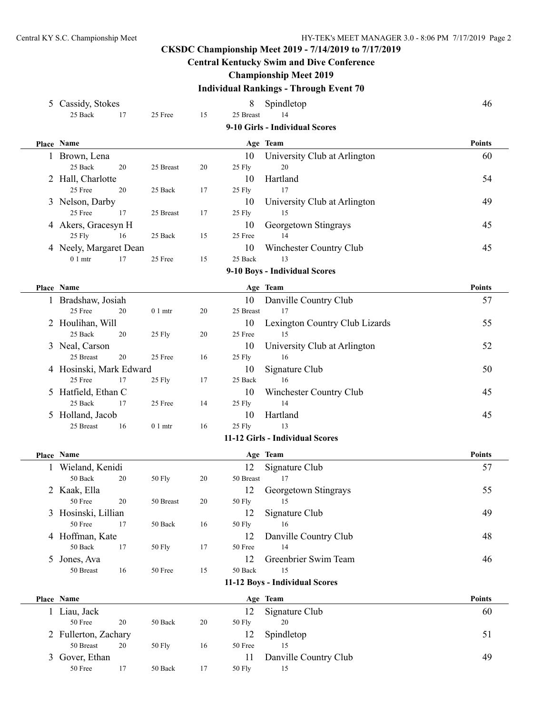## **CKSDC Championship Meet 2019 - 7/14/2019 to 7/17/2019**

## **Central Kentucky Swim and Dive Conference**

## **Championship Meet 2019**

# **Individual Rankings - Through Event 70**

| 5 Cassidy, Stokes                    |                 |        | 8                   | Spindletop                      | 46            |
|--------------------------------------|-----------------|--------|---------------------|---------------------------------|---------------|
| 25 Back<br>17                        | 25 Free         | 15     | 25 Breast           | 14                              |               |
|                                      |                 |        |                     | 9-10 Girls - Individual Scores  |               |
| Place Name                           |                 |        |                     | Age Team                        | <b>Points</b> |
| 1 Brown, Lena                        |                 |        | 10                  | University Club at Arlington    | 60            |
| 25 Back<br>20                        | 25 Breast       | 20     | 25 Fly              | 20                              |               |
| 2 Hall, Charlotte                    |                 |        | 10                  | Hartland                        | 54            |
| 25 Free<br>20                        | 25 Back         | 17     | 25 Fly              | 17                              |               |
| 3 Nelson, Darby                      |                 |        | 10                  | University Club at Arlington    | 49            |
| 25 Free<br>17                        | 25 Breast       | 17     | 25 Fly              | 15                              |               |
| 4 Akers, Gracesyn H                  |                 |        | 10                  | Georgetown Stingrays            | 45            |
| 25 Fly<br>16                         | 25 Back         | 15     | 25 Free             | 14                              |               |
| 4 Neely, Margaret Dean               |                 |        | 10                  | Winchester Country Club         | 45            |
| $01$ mtr<br>17                       | 25 Free         | 15     | 25 Back             | 13                              |               |
|                                      |                 |        |                     | 9-10 Boys - Individual Scores   |               |
| Place Name                           |                 |        |                     | Age Team                        | <b>Points</b> |
| 1 Bradshaw, Josiah                   |                 |        | 10                  | Danville Country Club           | 57            |
| 25 Free<br>20                        | $01$ mtr        | 20     | 25 Breast           | 17                              |               |
| 2 Houlihan, Will                     |                 |        | 10                  | Lexington Country Club Lizards  | 55            |
| 25 Back<br>20                        | 25 Fly          | 20     | 25 Free             | 15                              |               |
| 3 Neal, Carson                       |                 |        | 10                  | University Club at Arlington    | 52            |
| 25 Breast<br>$20\,$                  | 25 Free         | 16     | 25 Fly              | 16                              |               |
| 4 Hosinski, Mark Edward              |                 |        | 10                  | Signature Club                  | 50            |
| 25 Free<br>17                        | 25 Fly          | 17     | 25 Back             | 16                              |               |
| 5 Hatfield, Ethan C                  |                 |        | 10                  | Winchester Country Club         | 45            |
| 25 Back<br>17                        | 25 Free         | 14     | 25 Fly              | 14                              |               |
| 5 Holland, Jacob<br>25 Breast<br>16  |                 | 16     | 10                  | Hartland<br>13                  | 45            |
|                                      | $01$ mtr        |        | 25 Fly              | 11-12 Girls - Individual Scores |               |
|                                      |                 |        |                     |                                 |               |
| Place Name                           |                 |        |                     | Age Team                        | <b>Points</b> |
| 1 Wieland, Kenidi                    |                 |        | 12                  | Signature Club                  | 57            |
| 50 Back<br>20                        | 50 Fly          | 20     | 50 Breast           | 17                              |               |
| 2 Kaak, Ella                         |                 |        | 12                  | Georgetown Stingrays            | 55            |
| 50 Free<br>20                        | 50 Breast       | 20     | 50 Fly              | 15                              | 49            |
| 3 Hosinski, Lillian<br>50 Free<br>17 | 50 Back         | 16     | 12<br><b>50 Fly</b> | Signature Club<br>16            |               |
| 4 Hoffman, Kate                      |                 |        | 12                  | Danville Country Club           | 48            |
| 50 Back<br>17                        | 50 Fly          | 17     | 50 Free             | 14                              |               |
| 5 Jones, Ava                         |                 |        | 12                  | Greenbrier Swim Team            | 46            |
| 50 Breast<br>16                      | 50 Free         | 15     | 50 Back             | 15                              |               |
|                                      |                 |        |                     | 11-12 Boys - Individual Scores  |               |
| Place Name                           |                 |        |                     |                                 | <b>Points</b> |
|                                      |                 |        | 12                  | Age Team<br>Signature Club      | 60            |
| 1 Liau, Jack<br>50 Free<br>$20\,$    | 50 Back         | $20\,$ | <b>50 Fly</b>       | 20                              |               |
| 2 Fullerton, Zachary                 |                 |        | 12                  | Spindletop                      | 51            |
| 50 Breast<br>20                      | 50 Fly          | 16     | 50 Free             | 15                              |               |
| 3 Gover, Ethan                       |                 |        | 11                  | Danville Country Club           | 49            |
| $50\,\mathrm{Free}$<br>17            | $50\ \rm{Back}$ | 17     | 50 Fly              | 15                              |               |
|                                      |                 |        |                     |                                 |               |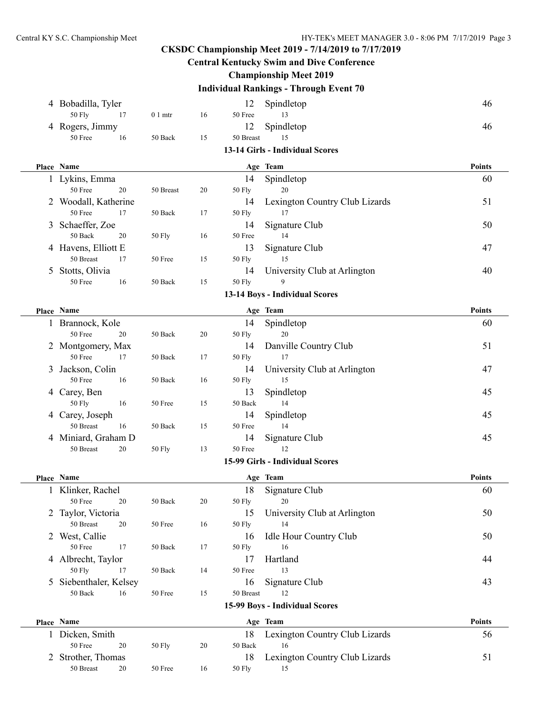## **CKSDC Championship Meet 2019 - 7/14/2019 to 7/17/2019 Central Kentucky Swim and Dive Conference Championship Meet 2019 Individual Rankings - Through Event 70** 4 Bobadilla, Tyler 12 Spindletop 12 April 12 Spindletop 46 50 Fly 17 0 1 mtr 16 50 Free 13 4 Rogers, Jimmy 12 Spindletop 46 50 Free 16 50 Back 15 50 Breast 15 **13-14 Girls - Individual Scores Place Name Age Team Points** 1 Lykins, Emma 14 Spindletop 60 50 Free 20 50 Breast 20 50 Fly 20 2 Woodall, Katherine 14 Lexington Country Club Lizards 51 50 Free 17 50 Back 17 50 Fly 17 3 Schaeffer, Zoe 14 Signature Club 50 50 Back 20 50 Fly 16 50 Free 14 4 Havens, Elliott E 13 Signature Club 47 50 Breast 17 50 Free 15 50 Fly 15 5 Stotts, Olivia 14 University Club at Arlington 40 50 Free 16 50 Back 15 50 Fly 9 **13-14 Boys - Individual Scores Place Name Age Team Points** 1 Brannock, Kole 14 Spindletop 60 50 Free 20 50 Back 20 50 Fly 20 2 Montgomery, Max 14 Danville Country Club 51 50 Free 17 50 Back 17 50 Fly 17 3 Jackson, Colin 14 University Club at Arlington 47 50 Free 16 50 Back 16 50 Fly 15 4 Carey, Ben 13 Spindletop 45 50 Fly 16 50 Free 15 50 Back 14 4 Carey, Joseph 14 Spindletop 45 50 Breast 16 50 Back 15 50 Free 14 4 Miniard, Graham D 14 Signature Club 45 50 Breast 20 50 Fly 13 50 Free 12 **15-99 Girls - Individual Scores Place Name Age Team Points** 1 Klinker, Rachel 18 Signature Club 60 50 Free 20 50 Back 20 50 Fly 20 2 Taylor, Victoria 15 University Club at Arlington 50 50 Breast 20 50 Free 16 50 Fly 14 2 West, Callie 16 Idle Hour Country Club 50 50 Free 17 50 Back 17 50 Fly 16 4 Albrecht, Taylor 17 Hartland 44 50 Fly 17 50 Back 14 50 Free 13 5 Siebenthaler, Kelsey 16 Signature Club 43 50 Back 16 50 Free 15 50 Breast 12 **15-99 Boys - Individual Scores Place Name Age Team Points** 1 Dicken, Smith 18 Lexington Country Club Lizards 56 50 Free 20 50 Fly 20 50 Back 16 2 Strother, Thomas 18 Lexington Country Club Lizards 51 50 Breast 20 50 Free 16 50 Fly 15